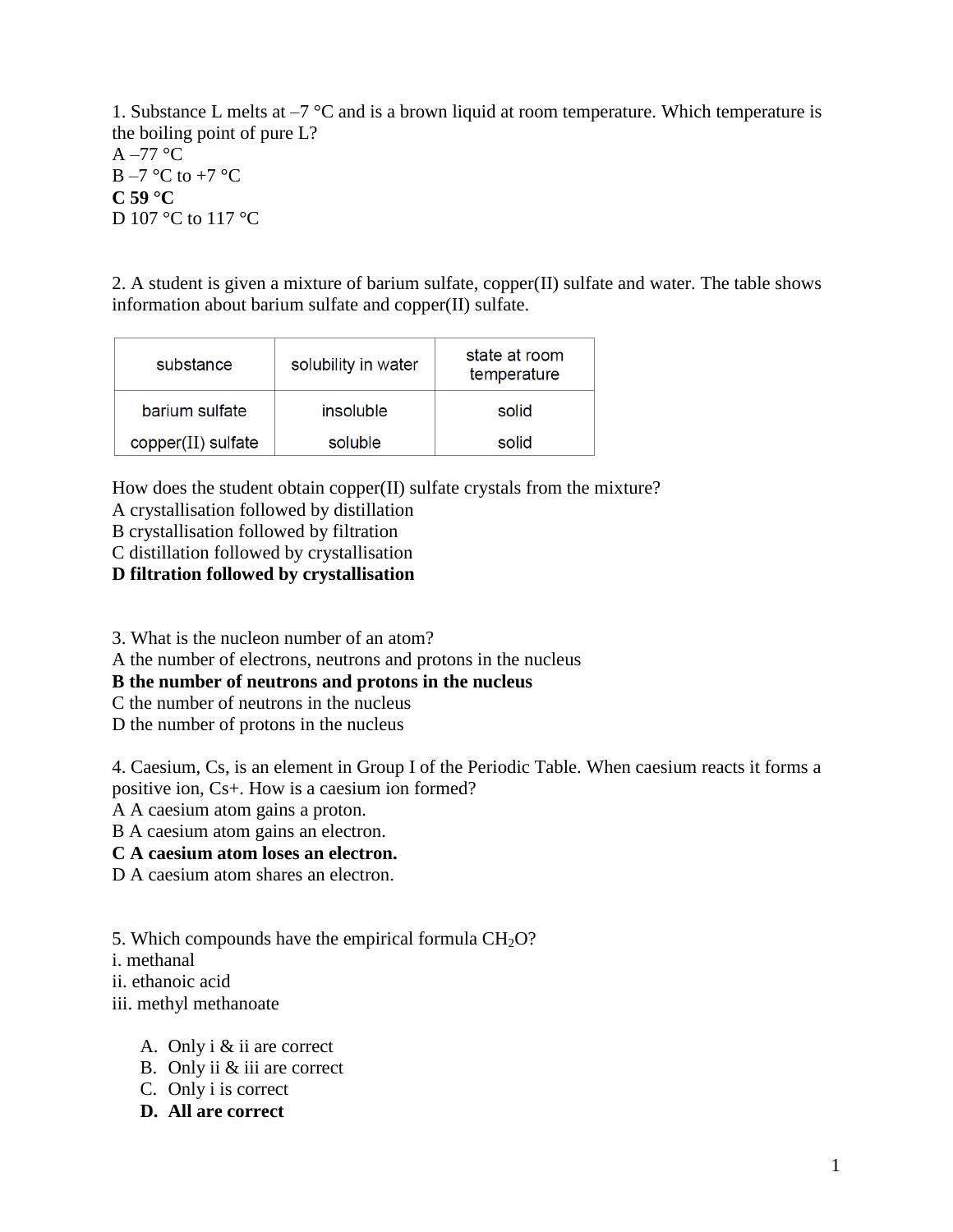1. Substance L melts at  $-7$  °C and is a brown liquid at room temperature. Which temperature is the boiling point of pure L?  $A - 77$  °C  $B - 7$  °C to +7 °C **C 59 °C** D 107 °C to 117 °C

2. A student is given a mixture of barium sulfate, copper(II) sulfate and water. The table shows information about barium sulfate and copper(II) sulfate.

| substance          | solubility in water | state at room<br>temperature |
|--------------------|---------------------|------------------------------|
| barium sulfate     | insoluble           | solid                        |
| copper(II) sulfate | soluble             | solid                        |

How does the student obtain copper(II) sulfate crystals from the mixture?

A crystallisation followed by distillation

B crystallisation followed by filtration

C distillation followed by crystallisation

**D filtration followed by crystallisation**

3. What is the nucleon number of an atom?

A the number of electrons, neutrons and protons in the nucleus

**B the number of neutrons and protons in the nucleus**

C the number of neutrons in the nucleus

D the number of protons in the nucleus

4. Caesium, Cs, is an element in Group I of the Periodic Table. When caesium reacts it forms a positive ion, Cs+. How is a caesium ion formed?

A A caesium atom gains a proton.

B A caesium atom gains an electron.

**C A caesium atom loses an electron.**

D A caesium atom shares an electron.

5. Which compounds have the empirical formula  $CH<sub>2</sub>O$ ?

i. methanal

ii. ethanoic acid

iii. methyl methanoate

- A. Only i & ii are correct
- B. Only ii & iii are correct
- C. Only i is correct
- **D. All are correct**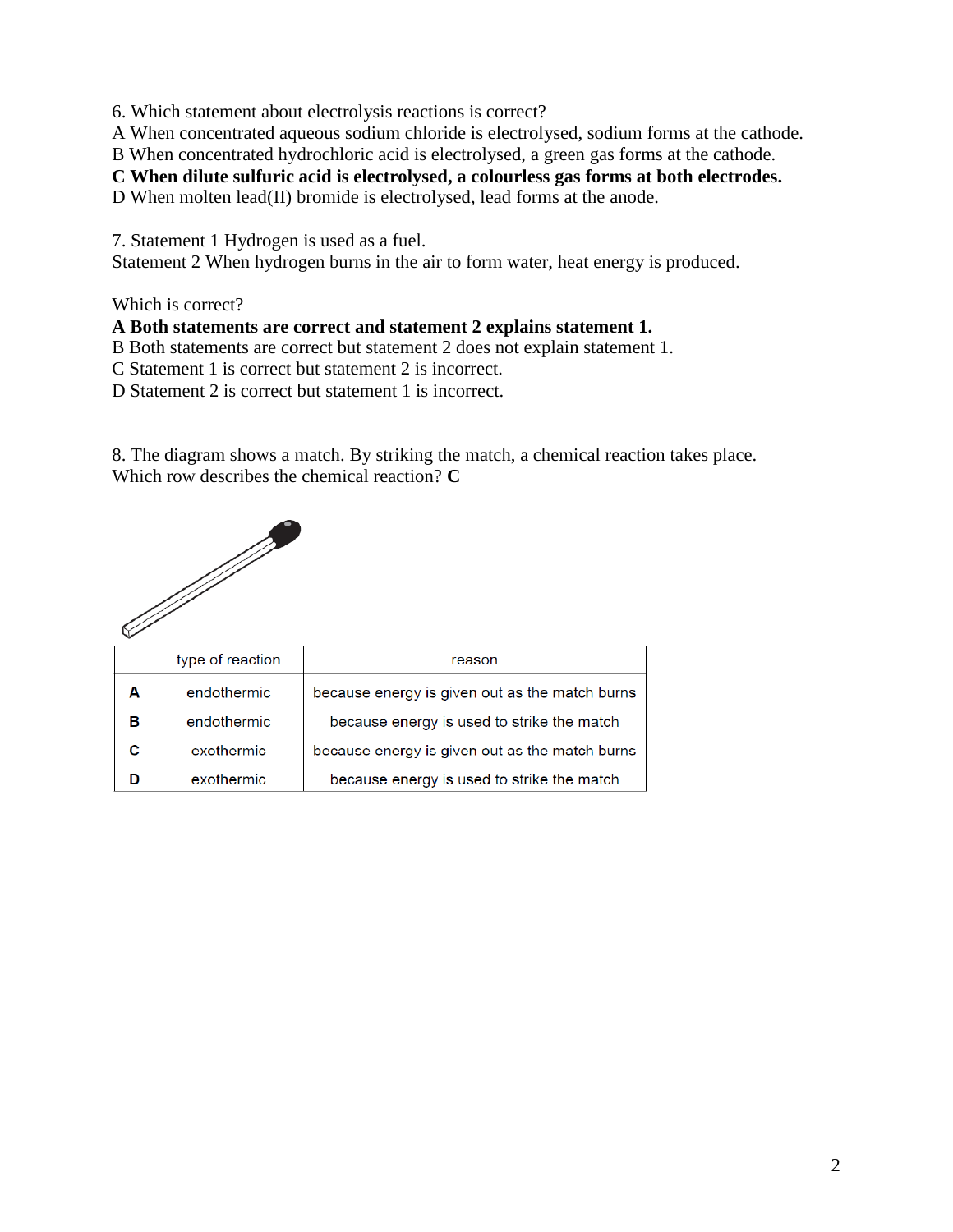6. Which statement about electrolysis reactions is correct?

A When concentrated aqueous sodium chloride is electrolysed, sodium forms at the cathode.

B When concentrated hydrochloric acid is electrolysed, a green gas forms at the cathode.

**C When dilute sulfuric acid is electrolysed, a colourless gas forms at both electrodes.**

D When molten lead(II) bromide is electrolysed, lead forms at the anode.

7. Statement 1 Hydrogen is used as a fuel.

Statement 2 When hydrogen burns in the air to form water, heat energy is produced.

Which is correct?

### **A Both statements are correct and statement 2 explains statement 1.**

B Both statements are correct but statement 2 does not explain statement 1.

C Statement 1 is correct but statement 2 is incorrect.

D Statement 2 is correct but statement 1 is incorrect.

8. The diagram shows a match. By striking the match, a chemical reaction takes place. Which row describes the chemical reaction? **C**



|   | type of reaction | reason                                         |
|---|------------------|------------------------------------------------|
| A | endothermic      | because energy is given out as the match burns |
| в | endothermic      | because energy is used to strike the match     |
|   | exothermic       | because energy is given out as the match burns |
|   | exothermic       | because energy is used to strike the match     |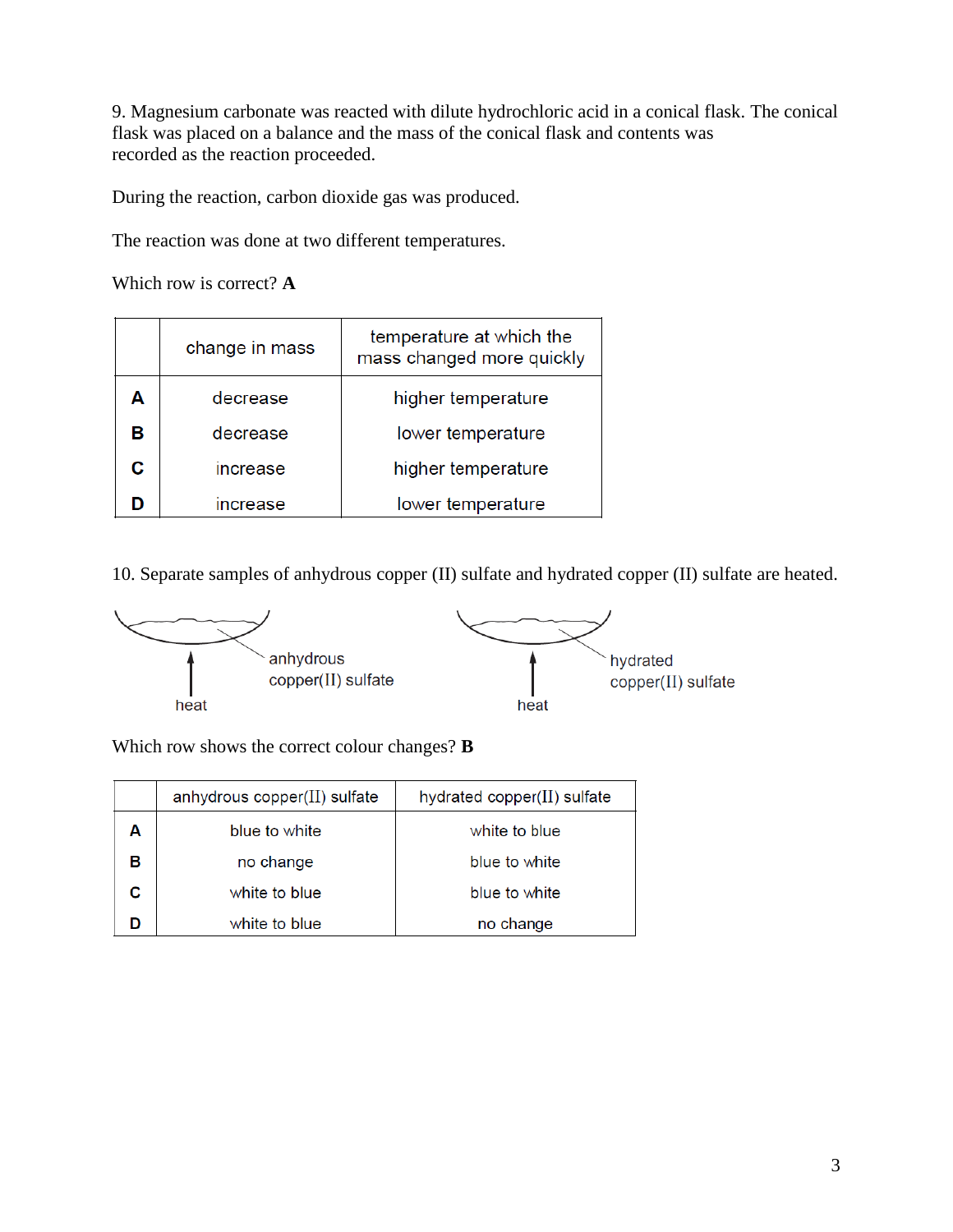9. Magnesium carbonate was reacted with dilute hydrochloric acid in a conical flask. The conical flask was placed on a balance and the mass of the conical flask and contents was recorded as the reaction proceeded.

During the reaction, carbon dioxide gas was produced.

The reaction was done at two different temperatures.

Which row is correct? **A**

|   | change in mass  | temperature at which the<br>mass changed more quickly |
|---|-----------------|-------------------------------------------------------|
| Α | decrease        | higher temperature                                    |
| в | decrease        | lower temperature                                     |
| c | increase        | higher temperature                                    |
| n | <b>increase</b> | lower temperature                                     |

10. Separate samples of anhydrous copper (II) sulfate and hydrated copper (II) sulfate are heated.



Which row shows the correct colour changes? **B**

|   | anhydrous copper $(II)$ sulfate | hydrated copper( $II$ ) sulfate |
|---|---------------------------------|---------------------------------|
|   | blue to white                   | white to blue                   |
| в | no change                       | blue to white                   |
|   | white to blue                   | blue to white                   |
|   | white to blue                   | no change                       |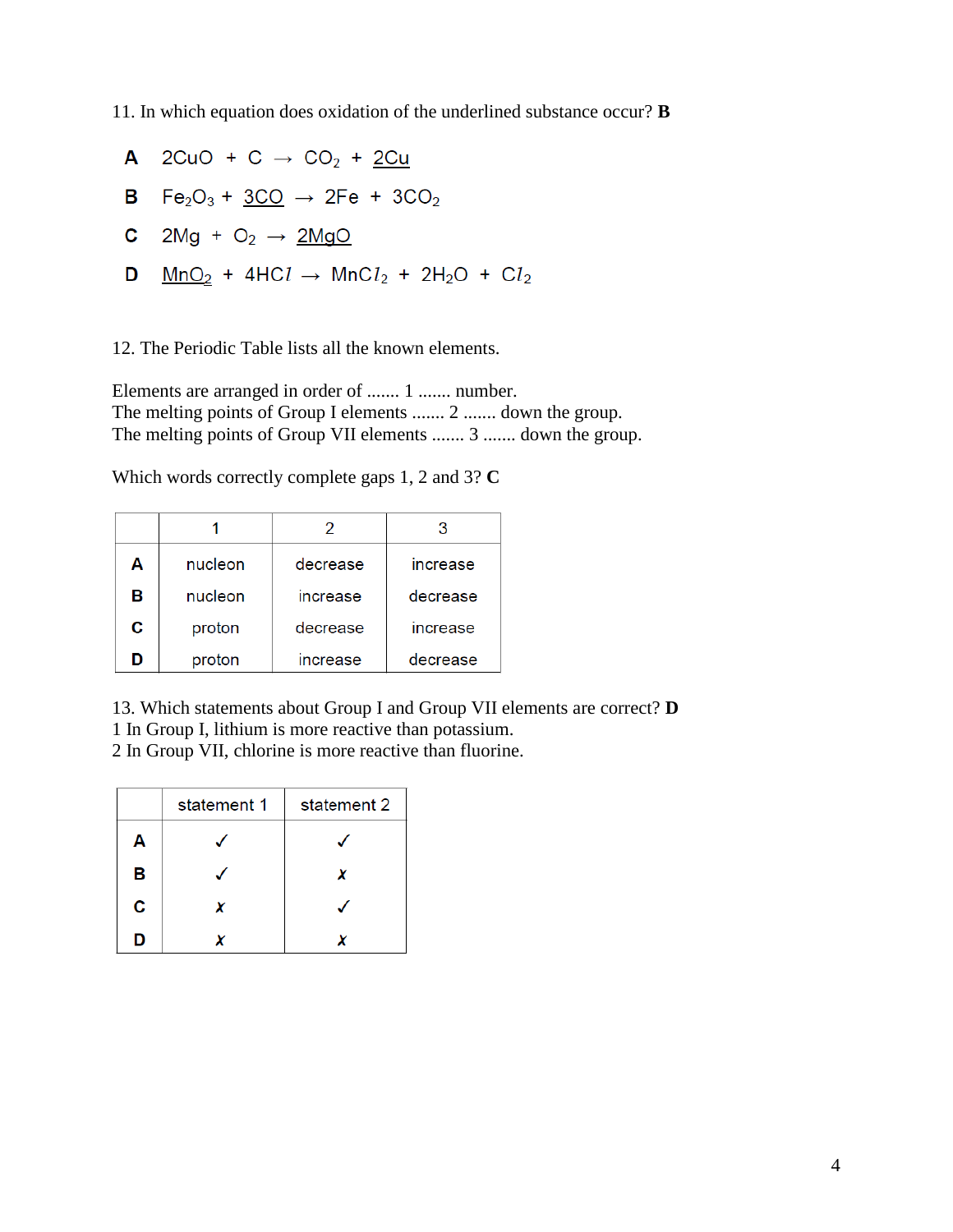11. In which equation does oxidation of the underlined substance occur? **B**

A 2CuO + C  $\rightarrow$  CO<sub>2</sub> + 2Cu **B**  $Fe_2O_3 + 3CO \rightarrow 2Fe + 3CO_2$ **C** 2Mg +  $O_2 \rightarrow 2MgO$ **D**  $\frac{MnO_2}{}$  + 4HCl  $\rightarrow$  MnCl<sub>2</sub> + 2H<sub>2</sub>O + Cl<sub>2</sub>

12. The Periodic Table lists all the known elements.

Elements are arranged in order of ....... 1 ....... number. The melting points of Group I elements ....... 2 ....... down the group. The melting points of Group VII elements ....... 3 ....... down the group.

Which words correctly complete gaps 1, 2 and 3? **C**

|   |         | 2        | 3               |
|---|---------|----------|-----------------|
| Α | nucleon | decrease | increase        |
| в | nucleon | increase | decrease        |
| С | proton  | decrease | <b>increase</b> |
| ח | proton  | increase | decrease        |

13. Which statements about Group I and Group VII elements are correct? **D** 1 In Group I, lithium is more reactive than potassium.

2 In Group VII, chlorine is more reactive than fluorine.

|   | statement 1 | statement 2 |
|---|-------------|-------------|
| Α |             |             |
| В |             | x           |
| C | x           |             |
| n |             |             |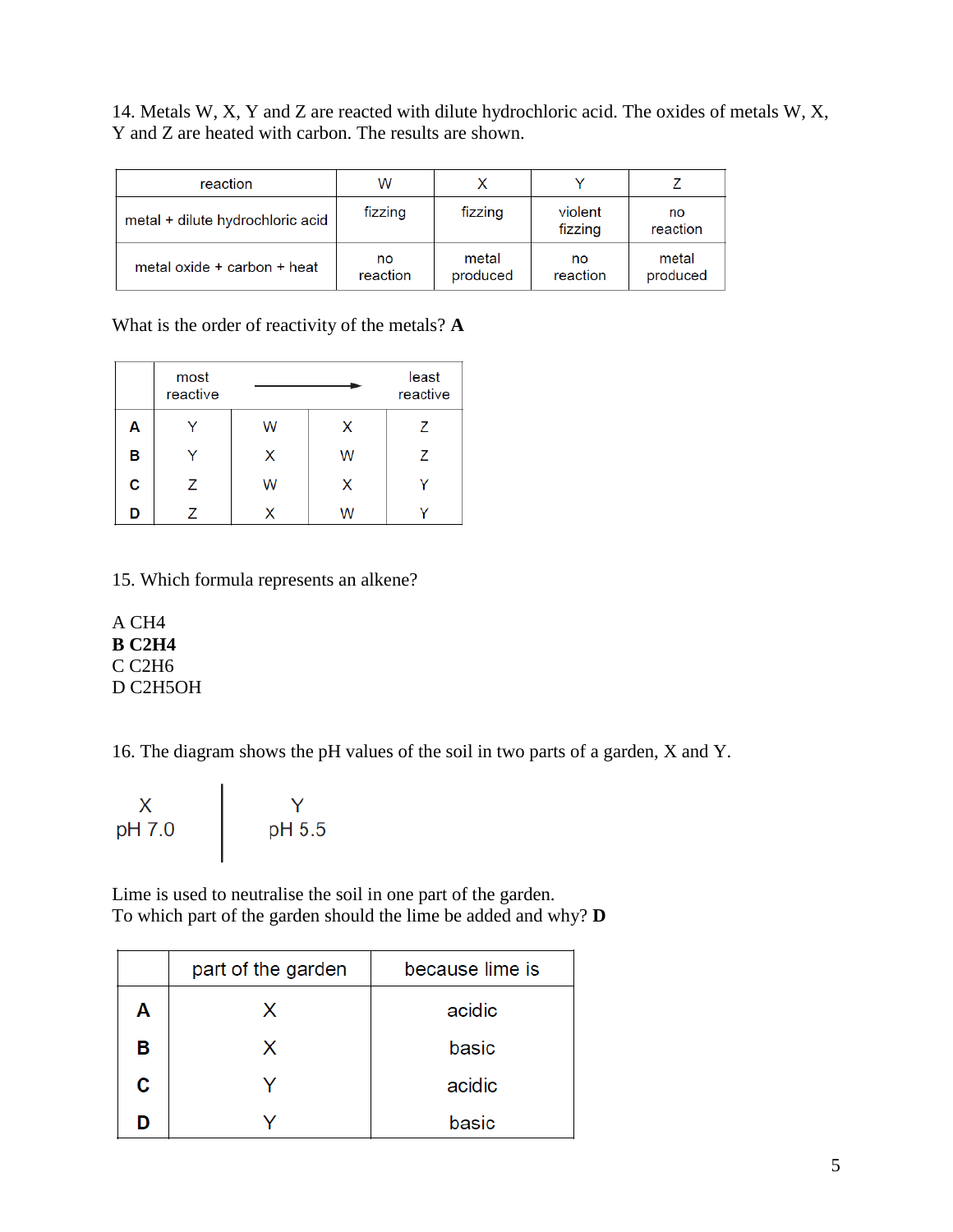14. Metals W, X, Y and Z are reacted with dilute hydrochloric acid. The oxides of metals W, X, Y and Z are heated with carbon. The results are shown.

| reaction                         | w              |                   |                    |                   |
|----------------------------------|----------------|-------------------|--------------------|-------------------|
| metal + dilute hydrochloric acid | fizzing        | fizzing           | violent<br>fizzing | no<br>reaction    |
| metal oxide + carbon + heat      | no<br>reaction | metal<br>produced | no<br>reaction     | metal<br>produced |

## What is the order of reactivity of the metals? **A**

|   | most<br>reactive |   |   | least<br>reactive |
|---|------------------|---|---|-------------------|
| Α |                  | W | X | 7                 |
| В |                  | X | W | 7                 |
| C | Ζ                | W | X |                   |
| D |                  |   | W |                   |

## 15. Which formula represents an alkene?

A CH4 **B C2H4**  C C2H6 D C2H5OH

16. The diagram shows the pH values of the soil in two parts of a garden, X and Y.

| Х<br>pH 7.0 | pH 5.5 |
|-------------|--------|
|             |        |

Lime is used to neutralise the soil in one part of the garden. To which part of the garden should the lime be added and why? **D**

|   | part of the garden | because lime is |
|---|--------------------|-----------------|
| Α | X                  | acidic          |
| в | x                  | basic           |
| C |                    | acidic          |
|   |                    | basic           |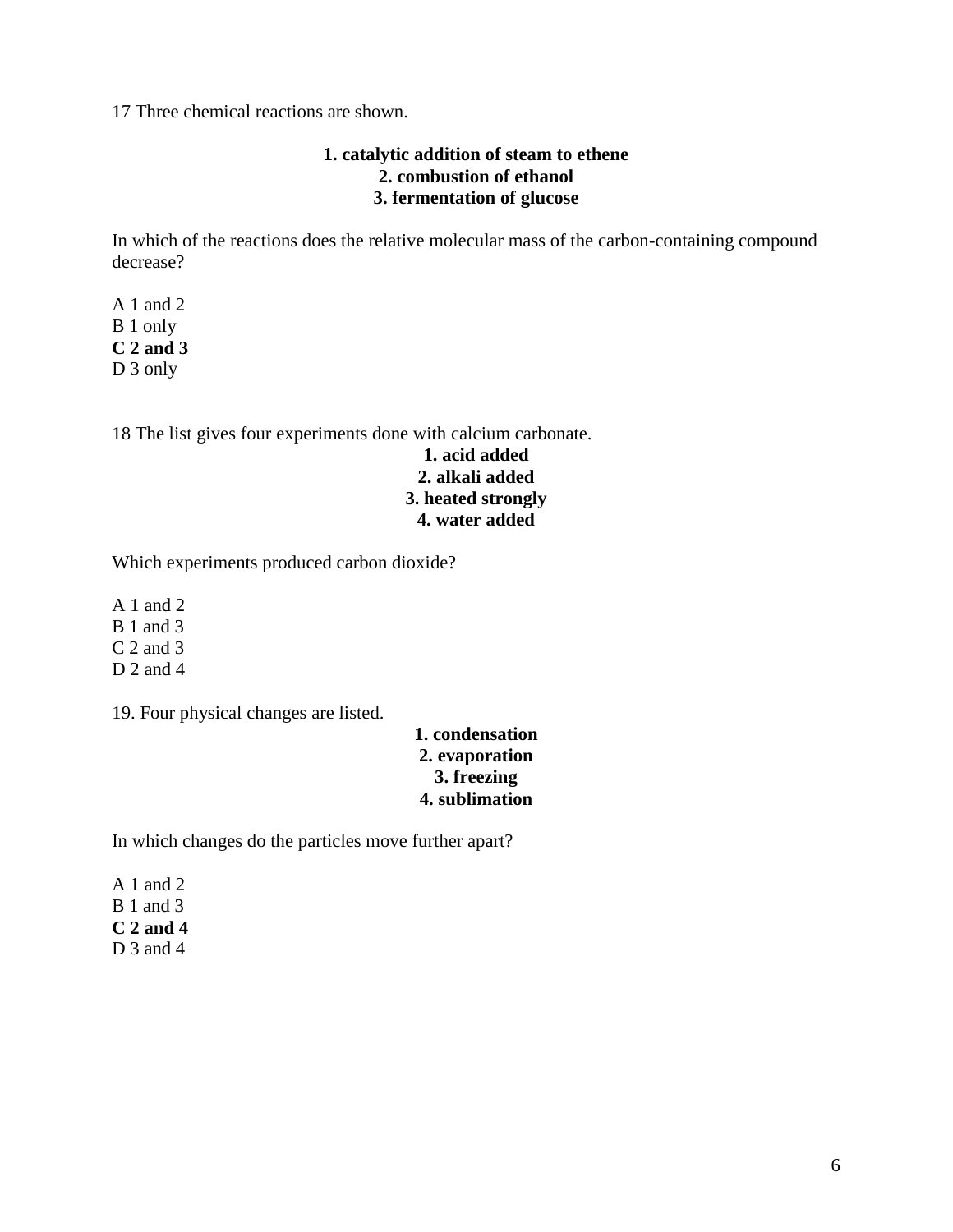17 Three chemical reactions are shown.

#### **1. catalytic addition of steam to ethene 2. combustion of ethanol 3. fermentation of glucose**

In which of the reactions does the relative molecular mass of the carbon-containing compound decrease?

A 1 and 2 B 1 only **C 2 and 3**  D 3 only

18 The list gives four experiments done with calcium carbonate.

#### **1. acid added 2. alkali added 3. heated strongly 4. water added**

Which experiments produced carbon dioxide?

A 1 and 2 B 1 and 3 C 2 and 3  $D$  2 and 4

19. Four physical changes are listed.

#### **1. condensation 2. evaporation 3. freezing 4. sublimation**

In which changes do the particles move further apart?

A 1 and  $2$ B 1 and 3 **C 2 and 4**  D 3 and 4